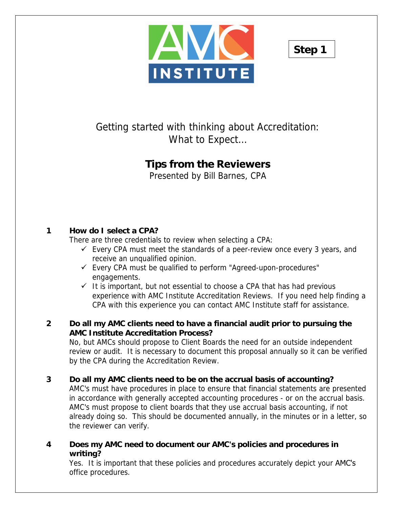



# Getting started with thinking about Accreditation: What to Expect…

# **Tips from the Reviewers**

Presented by Bill Barnes, CPA

# **1 How do I select a CPA?**

There are three credentials to review when selecting a CPA:

- $\checkmark$  Every CPA must meet the standards of a peer-review once every 3 years, and receive an unqualified opinion.
- $\checkmark$  Every CPA must be qualified to perform "Agreed-upon-procedures" engagements.
- $\checkmark$  It is important, but not essential to choose a CPA that has had previous experience with AMC Institute Accreditation Reviews. If you need help finding a CPA with this experience you can contact AMC Institute staff for assistance.

#### **2 Do all my AMC clients need to have a financial audit prior to pursuing the AMC Institute Accreditation Process?**

No, but AMCs should propose to Client Boards the need for an outside independent review or audit. It is necessary to document this proposal annually so it can be verified by the CPA during the Accreditation Review.

#### **3 Do all my AMC clients need to be on the accrual basis of accounting?**

AMC's must have procedures in place to ensure that financial statements are presented in accordance with generally accepted accounting procedures - or on the accrual basis. AMC's must propose to client boards that they use accrual basis accounting, if not already doing so. This should be documented annually, in the minutes or in a letter, so the reviewer can verify.

**4 Does my AMC need to document our AMC's policies and procedures in writing?** 

Yes. It is important that these policies and procedures accurately depict your AMC's office procedures.